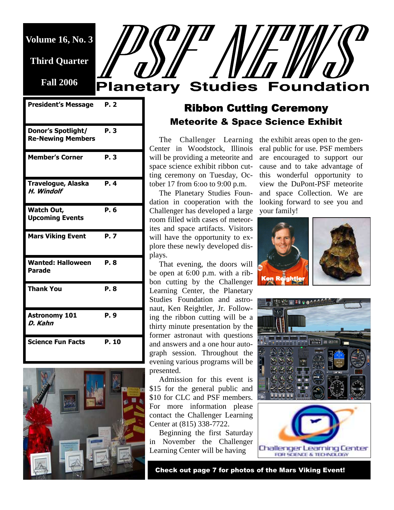**Volume 16, No. 3** 

**Third Quarter** 

**Fall 2006** 

President's Message

| <b>President's Message</b>                     | P. 2  |
|------------------------------------------------|-------|
| Donor's Spotlight/<br><b>Re-Newing Members</b> | P.3   |
| <b>Member's Corner</b>                         | P. 3  |
| Travelogue, Alaska<br>H. Windolf               | P. 4  |
| <b>Watch Out,</b><br><b>Upcoming Events</b>    | P.6   |
| <b>Mars Viking Event</b>                       | P.7   |
| <b>Wanted: Halloween</b><br><b>Parade</b>      | P.8   |
| <b>Thank You</b>                               | P.8   |
| <b>Astronomy 101</b><br>D. Kahn                | P. 9  |
| <b>Science Fun Facts</b>                       | P. 10 |



### **Ribbon Cutting Ceremony** Meteorite & Space Science Exhibit

 The Challenger Learning Center in Woodstock, Illinois will be providing a meteorite and space science exhibit ribbon cutting ceremony on Tuesday, October 17 from 6:oo to 9:00 p.m.

**Planetary Studies** 

 The Planetary Studies Foundation in cooperation with the Challenger has developed a large room filled with cases of meteorites and space artifacts. Visitors will have the opportunity to explore these newly developed displays.

 That evening, the doors will be open at 6:00 p.m. with a ribbon cutting by the Challenger Learning Center, the Planetary Studies Foundation and astronaut, Ken Reightler, Jr. Following the ribbon cutting will be a thirty minute presentation by the former astronaut with questions and answers and a one hour autograph session. Throughout the evening various programs will be presented.

 Admission for this event is \$15 for the general public and \$10 for CLC and PSF members. For more information please contact the Challenger Learning Center at (815) 338-7722.

 Beginning the first Saturday in November the Challenger Learning Center will be having

the exhibit areas open to the general public for use. PSF members are encouraged to support our cause and to take advantage of this wonderful opportunity to view the DuPont-PSF meteorite and space Collection. We are looking forward to see you and your family!

**Foundation** 







Check out page 7 for photos of the Mars Viking Event!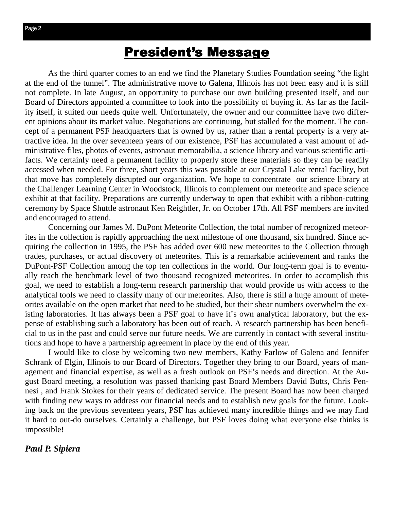## President's Message

 As the third quarter comes to an end we find the Planetary Studies Foundation seeing "the light at the end of the tunnel". The administrative move to Galena, Illinois has not been easy and it is still not complete. In late August, an opportunity to purchase our own building presented itself, and our Board of Directors appointed a committee to look into the possibility of buying it. As far as the facility itself, it suited our needs quite well. Unfortunately, the owner and our committee have two different opinions about its market value. Negotiations are continuing, but stalled for the moment. The concept of a permanent PSF headquarters that is owned by us, rather than a rental property is a very attractive idea. In the over seventeen years of our existence, PSF has accumulated a vast amount of administrative files, photos of events, astronaut memorabilia, a science library and various scientific artifacts. We certainly need a permanent facility to properly store these materials so they can be readily accessed when needed. For three, short years this was possible at our Crystal Lake rental facility, but that move has completely disrupted our organization. We hope to concentrate our science library at the Challenger Learning Center in Woodstock, Illinois to complement our meteorite and space science exhibit at that facility. Preparations are currently underway to open that exhibit with a ribbon-cutting ceremony by Space Shuttle astronaut Ken Reightler, Jr. on October 17th. All PSF members are invited and encouraged to attend.

 Concerning our James M. DuPont Meteorite Collection, the total number of recognized meteorites in the collection is rapidly approaching the next milestone of one thousand, six hundred. Since acquiring the collection in 1995, the PSF has added over 600 new meteorites to the Collection through trades, purchases, or actual discovery of meteorites. This is a remarkable achievement and ranks the DuPont-PSF Collection among the top ten collections in the world. Our long-term goal is to eventually reach the benchmark level of two thousand recognized meteorites. In order to accomplish this goal, we need to establish a long-term research partnership that would provide us with access to the analytical tools we need to classify many of our meteorites. Also, there is still a huge amount of meteorites available on the open market that need to be studied, but their shear numbers overwhelm the existing laboratories. It has always been a PSF goal to have it's own analytical laboratory, but the expense of establishing such a laboratory has been out of reach. A research partnership has been beneficial to us in the past and could serve our future needs. We are currently in contact with several institutions and hope to have a partnership agreement in place by the end of this year.

 I would like to close by welcoming two new members, Kathy Farlow of Galena and Jennifer Schrank of Elgin, Illinois to our Board of Directors. Together they bring to our Board, years of management and financial expertise, as well as a fresh outlook on PSF's needs and direction. At the August Board meeting, a resolution was passed thanking past Board Members David Butts, Chris Pennesi , and Frank Stokes for their years of dedicated service. The present Board has now been charged with finding new ways to address our financial needs and to establish new goals for the future. Looking back on the previous seventeen years, PSF has achieved many incredible things and we may find it hard to out-do ourselves. Certainly a challenge, but PSF loves doing what everyone else thinks is impossible!

#### *Paul P. Sipiera*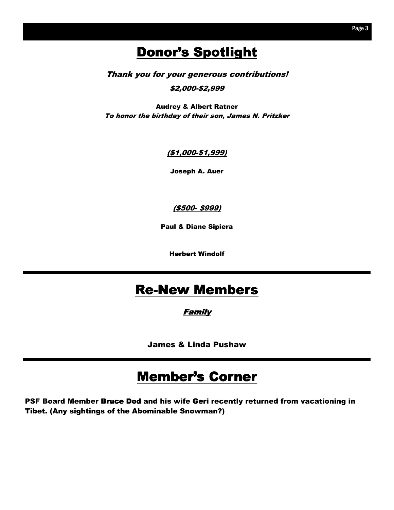# Donor's Spotlight

Thank you for your generous contributions!

#### \$2,000-\$2,999

Audrey & Albert Ratner To honor the birthday of their son, James N. Pritzker

#### (\$1,000-\$1,999)

Joseph A. Auer

(\$500- \$999)

Paul & Diane Sipiera

Herbert Windolf

## **Re-New Members**

Family

James & Linda Pushaw

## Member's Corner

PSF Board Member Bruce Dod and his wife Geri recently returned from vacationing in Tibet. (Any sightings of the Abominable Snowman?)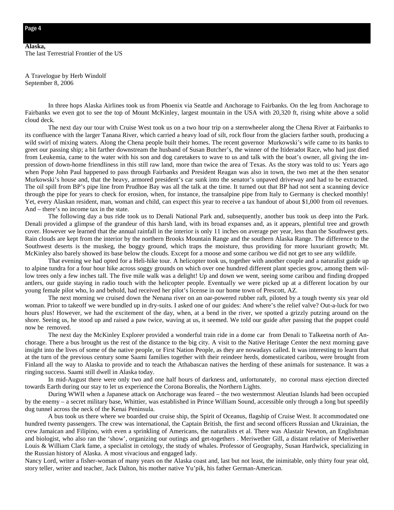#### **Alaska,** The last Terrestrial Frontier of the US

A Travelogue by Herb Windolf September 8, 2006

 In three hops Alaska Airlines took us from Phoenix via Seattle and Anchorage to Fairbanks. On the leg from Anchorage to Fairbanks we even got to see the top of Mount McKinley, largest mountain in the USA with 20,320 ft, rising white above a solid cloud deck.

 The next day our tour with Cruise West took us on a two hour trip on a sternwheeler along the Chena River at Fairbanks to its confluence with the larger Tanana River, which carried a heavy load of silt, rock flour from the glaciers farther south, producing a wild swirl of mixing waters. Along the Chena people built their homes. The recent governor Murkowski's wife came to its banks to greet our passing ship; a bit farther downstream the husband of Susan Butcher's, the winner of the Itideradot Race, who had just died from Leukemia, came to the water with his son and dog caretakers to wave to us and talk with the boat's owner, all giving the impression of down-home friendliness in this still raw land, more than twice the area of Texas. As the story was told to us: Years ago when Pope John Paul happened to pass through Fairbanks and President Reagan was also in town, the two met at the then senator Murkowski's house and, that the heavy, armored president's car sunk into the senator's unpaved driveway and had to be extracted. The oil spill from BP's pipe line from Prudhoe Bay was all the talk at the time. It turned out that BP had not sent a scanning device through the pipe for years to check for erosion, when, for instance, the transalpine pipe from Italy to Germany is checked monthly! Yet, every Alaskan resident, man, woman and child, can expect this year to receive a tax handout of about \$1,000 from oil revenues. And – there's no income tax in the state.

 The following day a bus ride took us to Denali National Park and, subsequently, another bus took us deep into the Park. Denali provided a glimpse of the grandeur of this harsh land, with its broad expanses and, as it appears, plentiful tree and growth cover. However we learned that the annual rainfall in the interior is only 11 inches on average per year, less than the Southwest gets. Rain clouds are kept from the interior by the northern Brooks Mountain Range and the southern Alaska Range. The difference to the Southwest deserts is the muskeg, the boggy ground, which traps the moisture, thus providing for more luxuriant growth; Mt. McKinley also barely showed its base below the clouds. Except for a moose and some caribou we did not get to see any wildlife.

 That evening we had opted for a Heli-hike tour. A helicopter took us, together with another couple and a naturalist guide up to alpine tundra for a four hour hike across soggy grounds on which over one hundred different plant species grow, among them willow trees only a few inches tall. The five mile walk was a delight! Up and down we went, seeing some caribou and finding dropped antlers, our guide staying in radio touch with the helicopter people. Eventually we were picked up at a different location by our young female pilot who, lo and behold, had received her pilot's license in our home town of Prescott, AZ.

 The next morning we cruised down the Nenana river on an oar-powered rubber raft, piloted by a tough twenty six year old woman. Prior to takeoff we were bundled up in dry-suits. I asked one of our guides: And where's the relief valve? Out-a-luck for two hours plus! However, we had the excitement of the day, when, at a bend in the river, we spotted a grizzly putzing around on the shore. Seeing us, he stood up and raised a paw twice, waving at us, it seemed. We told our guide after passing that the puppet could now be removed.

 The next day the McKinley Explorer provided a wonderful train ride in a dome car from Denali to Talkeetna north of Anchorage. There a bus brought us the rest of the distance to the big city. A visit to the Native Heritage Center the next morning gave insight into the lives of some of the native people, or First Nation People, as they are nowadays called. It was interesting to learn that at the turn of the previous century some Saami families together with their reindeer herds, domesticated caribou, were brought from Finland all the way to Alaska to provide and to teach the Athabascan natives the herding of these animals for sustenance. It was a ringing success. Saami still dwell in Alaska today.

 In mid-August there were only two and one half hours of darkness and, unfortunately, no coronal mass ejection directed towards Earth during our stay to let us experience the Corona Borealis, the Northern Lights.

 During WWII when a Japanese attack on Anchorage was feared – the two westernmost Aleutian Islands had been occupied by the enemy – a secret military base, Whittier, was established in Prince William Sound, accessible only through a long but speedily dug tunnel across the neck of the Kenai Peninsula.

 A bus took us there where we boarded our cruise ship, the Spirit of Oceanus, flagship of Cruise West. It accommodated one hundred twenty passengers. The crew was international, the Captain British, the first and second officers Russian and Ukrainian, the crew Jamaican and Filipino, with even a sprinkling of Americans, the naturalists et al. There was Alastair Newton, an Englishman and biologist, who also ran the 'show', organizing our outings and get-togethers . Meriwether Gill, a distant relative of Meriwether Louis & William Clark fame, a specialist in cetology, the study of whales. Professor of Geography, Susan Hardwick, specializing in the Russian history of Alaska. A most vivacious and engaged lady.

Nancy Lord, writer a fisher-woman of many years on the Alaska coast and, last but not least, the inimitable, only thirty four year old, story teller, writer and teacher, Jack Dalton, his mother native Yu'pik, his father German-American.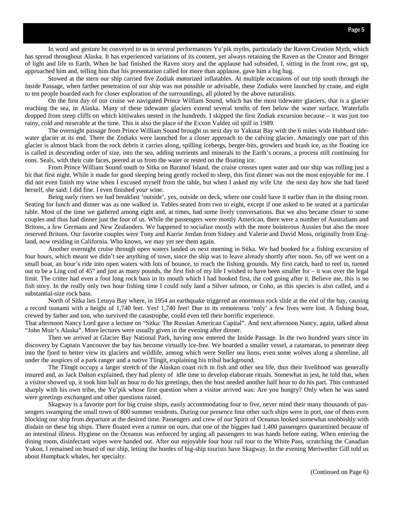In word and gesture he conveyed to us in several performances Yu'pik myths, particularly the Raven Creation Myth, which has spread throughout Alaska. It has experienced variations of its content, yet always retaining the Raven as the Creator and Bringer of light and life to Earth. When he had finished the Raven story and the applause had subsided, I, sitting in the front row, got up, approached him and, telling him that his presentation called for more than applause, gave him a big hug.

 Stowed at the stern our ship carried five Zodiak motorized inflatables. At multiple occasions of our trip south through the Inside Passage, when farther penetration of our ship was not possible or advisable, these Zodiaks were launched by crane, and eight to ten people boarded each for closer exploration of the surroundings, all piloted by the above naturalists.

 On the first day of our cruise we navigated Prince William Sound, which has the most tidewater glaciers, that is a glacier reaching the sea, in Alaska. Many of these tidewater glaciers extend several tenths of feet below the water surface. Waterfalls dropped from steep cliffs on which kittiwakes nested in the hundreds. I skipped the first Zodiak excursion because – it was just too rainy, cold and miserable at the time. This is also the place of the Exxon Valdez oil spill in 1989.

 The overnight passage from Prince William Sound brought us next day to Yakutat Bay with the 6 miles wide Hubbard tidewater glacier at its end. There the Zodiaks were launched for a closer approach to the calving glacier. Amazingly one part of this glacier is almost black from the rock debris it carries along, spilling icebergs, berger-bits, growlers and brash ice, as the floating ice is called in descending order of size, into the sea, adding nutrients and minerals to the Earth's oceans, a process still continuing for eons. Seals, with their cute faces, peered at us from the water or rested on the floating ice.

 From Prince William Sound south to Sitka on Baranof Island, the cruise crosses open water and our ship was rolling just a bit that first night. While it made for good sleeping being gently rocked to sleep, this first dinner was not the most enjoyable for me. I did not even finish my wine when I excused myself from the table, but when I asked my wife Ute the next day how she had fared herself, she said: I did fine. I even finished *your* wine.

 Being early risers we had breakfast 'outside', yes, outside on deck, where one could have it earlier than in the dining room. Seating for lunch and dinner was as one walked in. Tables seated from two to eight, except if one asked to be seated at a particular table. Most of the time we gathered among eight and, at times, had some lively conversations. But we also became closer to some couples and thus had dinner just the four of us. While the passengers were mostly American, there were a number of Australians and Britons, a few Germans and New Zealanders. We happened to socialize mostly with the more boisterous Aussies but also the more reserved Britons. Our favorite couples were Tony and Karrie Jordan from Sidney and Valerie and David Moss, originally from England, now residing in California. Who knows, we may yet see them again.

 Another overnight cruise through open waters landed us next morning in Sitka. We had booked for a fishing excursion of four hours, which meant we didn't see anything of town, since the ship was to leave already shortly after noon. So, off we went on a small boat, an hour's ride into open waters with lots of bounce, to reach the fishing grounds. My first catch, hard to reel in, turned out to be a Ling cod of 45" and just as many pounds, the first fish of my life I wished to have been smaller for – it was over the legal limit. The critter had even a foot long rock bass in its mouth which I had hooked first, the cod going after it. Believe me, this is no fish story. In the really only two hour fishing time I could only land a Silver salmon, or Coho, as this species is also called, and a substantial-size rock bass.

 North of Sitka lies Letuya Bay where, in 1954 an earthquake triggered an enormous rock slide at the end of the bay, causing a record tsunami with a height of 1,740 feet. Yes! 1,740 feet! Due to its remoteness 'only' a few lives were lost. A fishing boat, crewed by father and son, who survived the catastrophe, could even tell their horrific experience.

That afternoon Nancy Lord gave a lecture on "Sitka: The Russian American Capital". And next afternoon Nancy, again, talked about "John Muir's Alaska". More lectures were usually given in the evening after dinner.

 Then we arrived at Glacier Bay National Park, having now entered the Inside Passage. In the two hundred years since its discovery by Captain Vancouver the bay has become virtually ice-free. We boarded a smaller vessel, a catamaran, to penetrate deep into the fjord to better view its glaciers and wildlife, among which were Steller sea lions, even some wolves along a shoreline, all under the auspices of a park ranger and a native Tlingit, explaining his tribal background.

 The Tlingit occupy a larger stretch of the Alaskan coast rich in fish and other sea life, thus their livelihood was generally insured and, as Jack Dalton explained, they had plenty of idle time to develop elaborate rituals. Somewhat in jest, he told that, when a visitor showed up, it took him half an hour to do his greetings, then the host needed another half hour to do his part. This contrasted sharply with his own tribe, the Yu'pik whose first question when a visitor arrived was: Are you hungry? Only when he was sated were greetings exchanged and other questions raised.

 Skagway is a favorite port for big cruise ships, easily accommodating four to five, never mind their many thousands of passengers swamping the small town of 800 summer residents. During our presence four other such ships were in port, one of them even blocking our ship from departure at the desired time. Passengers and crew of our Spirit of Oceanus looked somewhat snobbishly with disdain on these big ships. There floated even a rumor on ours, that one of the biggies had 1,400 passengers quarantined because of an intestinal illness. Hygiene on the Oceanus was enforced by urging all passengers to was hands before eating. When entering the dining room, disinfectant wipes were handed out. After our enjoyable four hour rail tour to the White Pass, scratching the Canadian Yukon, I remained on board of our ship, letting the hordes of big-ship tourists have Skagway. In the evening Meriwether Gill told us about Humpback whales, her specialty.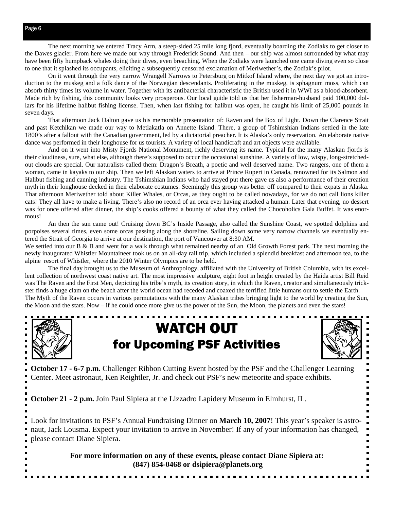The next morning we entered Tracy Arm, a steep-sided 25 mile long fjord, eventually boarding the Zodiaks to get closer to the Dawes glacier. From here we made our way through Frederick Sound. And then – our ship was almost surrounded by what may have been fifty humpback whales doing their dives, even breaching. When the Zodiaks were launched one came diving even so close to one that it splashed its occupants, eliciting a subsequently censored exclamation of Meriwether's, the Zodiak's pilot.

 On it went through the very narrow Wrangell Narrows to Petersburg on Mitkof Island where, the next day we got an introduction to the muskeg and a folk dance of the Norwegian descendants. Proliferating in the muskeg, is sphagnum moss, which can absorb thirty times its volume in water. Together with its antibacterial characteristic the British used it in WWI as a blood-absorbent. Made rich by fishing, this community looks very prosperous. Our local guide told us that her fisherman-husband paid 100,000 dollars for his lifetime halibut fishing license. Then, when last fishing for halibut was open, he caught his limit of 25,000 pounds in seven days.

 That afternoon Jack Dalton gave us his memorable presentation of: Raven and the Box of Light. Down the Clarence Strait and past Ketchikan we made our way to Metlakatla on Annette Island. There, a group of Tshimshian Indians settled in the late 1800's after a fallout with the Canadian government, led by a dictatorial preacher. It is Alaska's only reservation. An elaborate native dance was performed in their longhouse for us tourists. A variety of local handicraft and art objects were available.

 And on it went into Misty Fjords National Monument, richly deserving its name. Typical for the many Alaskan fjords is their cloudiness, sure, what else, although there's supposed to occur the occasional sunshine. A variety of low, wispy, long-stretchedout clouds are special. Our naturalists called them: Dragon's Breath, a poetic and well deserved name. Two rangers, one of them a woman, came in kayaks to our ship. Then we left Alaskan waters to arrive at Prince Rupert in Canada, renowned for its Salmon and Halibut fishing and canning industry. The Tshimshian Indians who had stayed put there gave us also a performance of their creation myth in their longhouse decked in their elaborate costumes. Seemingly this group was better off compared to their expats in Alaska. That afternoon Meriwether told about Killer Whales, or Orcas, as they ought to be called nowadays, for we do not call lions killer cats! They all have to make a living. There's also no record of an orca ever having attacked a human. Later that evening, no dessert was for once offered after dinner, the ship's cooks offered a bounty of what they called the Chocoholics Gala Buffet. It was enormous!

 An then the sun came out! Cruising down BC's Inside Passage, also called the Sunshine Coast, we spotted dolphins and porpoises several times, even some orcas passing along the shoreline. Sailing down some very narrow channels we eventually entered the Strait of Georgia to arrive at our destination, the port of Vancouver at 8:30 AM.

We settled into our B  $\&$  B and went for a walk through what remained nearby of an Old Growth Forest park. The next morning the newly inaugurated Whistler Mountaineer took us on an all-day rail trip, which included a splendid breakfast and afternoon tea, to the alpine resort of Whistler, where the 2010 Winter Olympics are to be held.

 The final day brought us to the Museum of Anthropology, affiliated with the University of British Columbia, with its excellent collection of northwest coast native art. The most impressive sculpture, eight foot in height created by the Haida artist Bill Reid was The Raven and the First Men, depicting his tribe's myth, its creation story, in which the Raven, creator and simultaneously trickster finds a huge clam on the beach after the world ocean had receded and coaxed the terrified little humans out to settle the Earth. The Myth of the Raven occurs in various permutations with the many Alaskan tribes bringing light to the world by creating the Sun, the Moon and the stars. Now – if he could once more give us the power of the Sun, the Moon, the planets and even the stars!



**October 17 - 6-7 p.m.** Challenger Ribbon Cutting Event hosted by the PSF and the Challenger Learning Center. Meet astronaut, Ken Reightler, Jr. and check out PSF's new meteorite and space exhibits.

**October 21 - 2 p.m.** Join Paul Sipiera at the Lizzadro Lapidery Museum in Elmhurst, IL.

Look for invitations to PSF's Annual Fundraising Dinner on **March 10, 2007**! This year's speaker is astronaut, Jack Lousma. Expect your invitation to arrive in November! If any of your information has changed, please contact Diane Sipiera.

> **For more information on any of these events, please contact Diane Sipiera at: (847) 854-0468 or dsipiera@planets.org**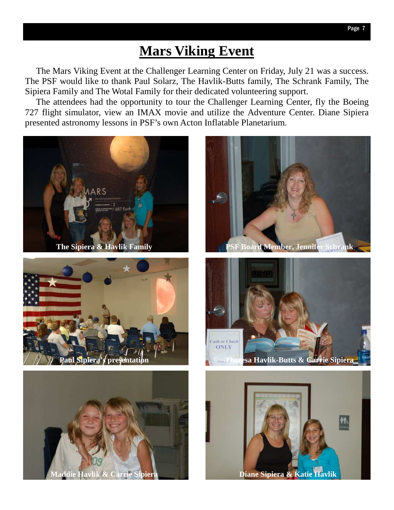## **Mars Viking Event**

 The Mars Viking Event at the Challenger Learning Center on Friday, July 21 was a success. The PSF would like to thank Paul Solarz, The Havlik-Butts family, The Schrank Family, The Sipiera Family and The Wotal Family for their dedicated volunteering support.

 The attendees had the opportunity to tour the Challenger Learning Center, fly the Boeing 727 flight simulator, view an IMAX movie and utilize the Adventure Center. Diane Sipiera presented astronomy lessons in PSF's own Acton Inflatable Planetarium.











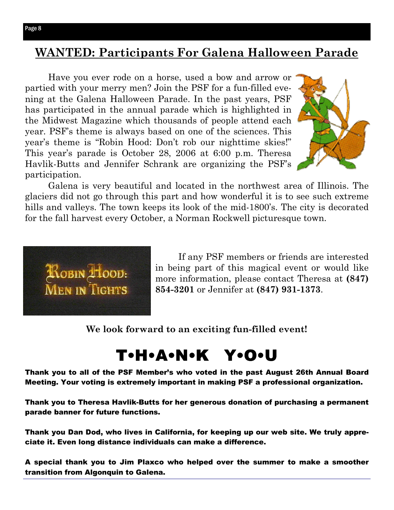## WANTED: Participants For Galena Halloween Parade

 Have you ever rode on a horse, used a bow and arrow or partied with your merry men? Join the PSF for a fun-filled evening at the Galena Halloween Parade. In the past years, PSF has participated in the annual parade which is highlighted in the Midwest Magazine which thousands of people attend each year. PSF's theme is always based on one of the sciences. This year's theme is "Robin Hood: Don't rob our nighttime skies!" This year's parade is October 28, 2006 at 6:00 p.m. Theresa Havlik-Butts and Jennifer Schrank are organizing the PSF's participation.



Galena is very beautiful and located in the northwest area of Illinois. The glaciers did not go through this part and how wonderful it is to see such extreme hills and valleys. The town keeps its look of the mid-1800's. The city is decorated for the fall harvest every October, a Norman Rockwell picturesque town.



 If any PSF members or friends are interested in being part of this magical event or would like more information, please contact Theresa at (847) 854-3201 or Jennifer at (847) 931-1373.

We look forward to an exciting fun-filled event!

# T•H•A•N•K Y•O•U T•H•A•N•K Y•O•U

Thank you to all of the PSF Member's who voted in the past August 26th Annual Board Meeting. Your voting is extremely important in making PSF a professional organization.

Thank you to Theresa Havlik-Butts for her generous donation of purchasing a permanent parade banner for future functions.

Thank you Dan Dod, who lives in California, for keeping up our web site. We truly appreciate it. Even long distance individuals can make a difference.

A special thank you to Jim Plaxco who helped over the summer to make a smoother transition from Algonquin to Galena.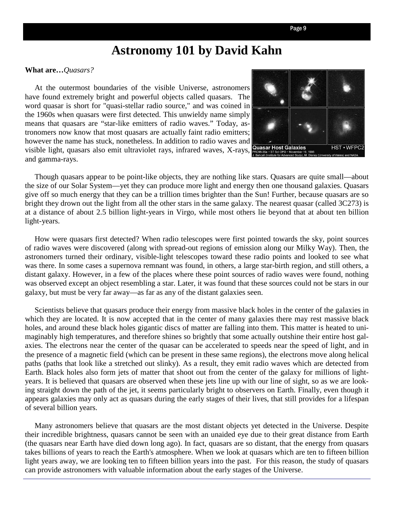## **Astronomy 101 by David Kahn**

#### **What are…***Quasars?*

 At the outermost boundaries of the visible Universe, astronomers have found extremely bright and powerful objects called quasars. The word quasar is short for "quasi-stellar radio source," and was coined in the 1960s when quasars were first detected. This unwieldy name simply means that quasars are "star-like emitters of radio waves." Today, astronomers now know that most quasars are actually faint radio emitters; however the name has stuck, nonetheless. In addition to radio waves and visible light, quasars also emit ultraviolet rays, infrared waves, X-rays, and gamma-rays.



 Though quasars appear to be point-like objects, they are nothing like stars. Quasars are quite small—about the size of our Solar System—yet they can produce more light and energy then one thousand galaxies. Quasars give off so much energy that they can be a trillion times brighter than the Sun! Further, because quasars are so bright they drown out the light from all the other stars in the same galaxy. The nearest quasar (called 3C273) is at a distance of about 2.5 billion light-years in Virgo, while most others lie beyond that at about ten billion light-years.

 How were quasars first detected? When radio telescopes were first pointed towards the sky, point sources of radio waves were discovered (along with spread-out regions of emission along our Milky Way). Then, the astronomers turned their ordinary, visible-light telescopes toward these radio points and looked to see what was there. In some cases a supernova remnant was found, in others, a large star-birth region, and still others, a distant galaxy. However, in a few of the places where these point sources of radio waves were found, nothing was observed except an object resembling a star. Later, it was found that these sources could not be stars in our galaxy, but must be very far away—as far as any of the distant galaxies seen.

 Scientists believe that quasars produce their energy from massive black holes in the center of the galaxies in which they are located. It is now accepted that in the center of many galaxies there may rest massive black holes, and around these black holes gigantic discs of matter are falling into them. This matter is heated to unimaginably high temperatures, and therefore shines so brightly that some actually outshine their entire host galaxies. The electrons near the center of the quasar can be accelerated to speeds near the speed of light, and in the presence of a magnetic field (which can be present in these same regions), the electrons move along helical paths (paths that look like a stretched out slinky). As a result, they emit radio waves which are detected from Earth. Black holes also form jets of matter that shoot out from the center of the galaxy for millions of lightyears. It is believed that quasars are observed when these jets line up with our line of sight, so as we are looking straight down the path of the jet, it seems particularly bright to observers on Earth. Finally, even though it appears galaxies may only act as quasars during the early stages of their lives, that still provides for a lifespan of several billion years.

 Many astronomers believe that quasars are the most distant objects yet detected in the Universe. Despite their incredible brightness, quasars cannot be seen with an unaided eye due to their great distance from Earth (the quasars near Earth have died down long ago). In fact, quasars are so distant, that the energy from quasars takes billions of years to reach the Earth's atmosphere. When we look at quasars which are ten to fifteen billion light years away, we are looking ten to fifteen billion years into the past. For this reason, the study of quasars can provide astronomers with valuable information about the early stages of the Universe.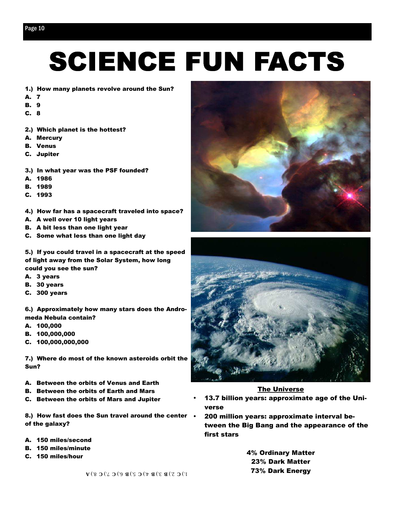# **SCIENCE FUN FACTS**

- 1.) How many planets revolve around the Sun?
- A. 7
- B. 9
- C. 8
- 2.) Which planet is the hottest?
- A. Mercury
- B. Venus
- C. Jupiter
- 3.) In what year was the PSF founded?
- A. 1986
- B. 1989
- C. 1993
- 4.) How far has a spacecraft traveled into space?
- A. A well over 10 light years
- B. A bit less than one light year
- C. Some what less than one light day

5.) If you could travel in a spacecraft at the speed of light away from the Solar System, how long could you see the sun?

- A. 3 years
- B. 30 years
- C. 300 years

6.) Approximately how many stars does the Andromeda Nebula contain?

- A. 100,000
- B. 100,000,000
- C. 100,000,000,000

7.) Where do most of the known asteroids orbit the Sun?

- A. Between the orbits of Venus and Earth
- B. Between the orbits of Earth and Mars
- C. Between the orbits of Mars and Jupiter

8.) How fast does the Sun travel around the center . of the galaxy?

- A. 150 miles/second
- B. 150 miles/minute
- C. 150 miles/hour





#### The Universe

- 13.7 billion years: approximate age of the Universe
	- 200 million years: approximate interval between the Big Bang and the appearance of the first stars

4% Ordinary Matter 23% Dark Matter 73% Dark Energy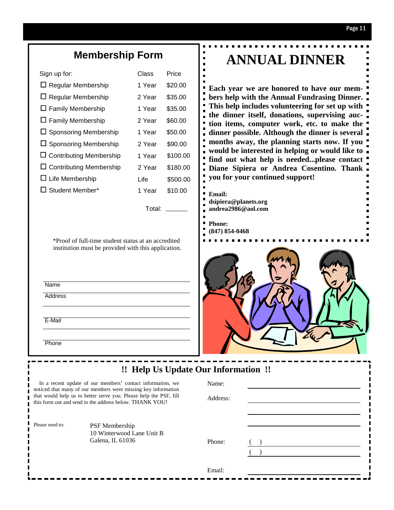**ANNUAL DINNER** 

**Each year we are honored to have our members help with the Annual Fundrasing Dinner. This help includes volunteering for set up with the dinner itself, donations, supervising auction items, computer work, etc. to make the dinner possible. Although the dinner is several months away, the planning starts now. If you would be interested in helping or would like to find out what help is needed...please contact Diane Sipiera or Andrea Cosentino. Thank** 

**you for your continued support!** 

**Email:** 

п

п  $\blacksquare$  $\blacksquare$  $\blacksquare$ 

 $\blacksquare$ 

 $\blacksquare$ ř.  $\blacksquare$ п  $\blacksquare$ п

**Phone: (847) 854-0468** 

**dsipiera@planets.org andrea2986@aol.com** 

#### **Membership Form**

| Sign up for:                   | Class  | Price    |
|--------------------------------|--------|----------|
| $\Box$ Regular Membership      | 1 Year | \$20.00  |
| $\Box$ Regular Membership      | 2 Year | \$35.00  |
| $\Box$ Family Membership       | 1 Year | \$35.00  |
| $\Box$ Family Membership       | 2 Year | \$60.00  |
| $\Box$ Sponsoring Membership   | 1 Year | \$50.00  |
| $\Box$ Sponsoring Membership   | 2 Year | \$90.00  |
| $\Box$ Contributing Membership | 1 Year | \$100.00 |
| $\Box$ Contributing Membership | 2 Year | \$180.00 |
| $\Box$ Life Membership         | Life   | \$500.00 |
| $\Box$ Student Member*         | 1 Year | \$10.00  |
|                                |        |          |

\*Proof of full-time student status at an accredited institution must be provided with this application.

Total:

Name

**Address** 

E-Mail

**Phone**